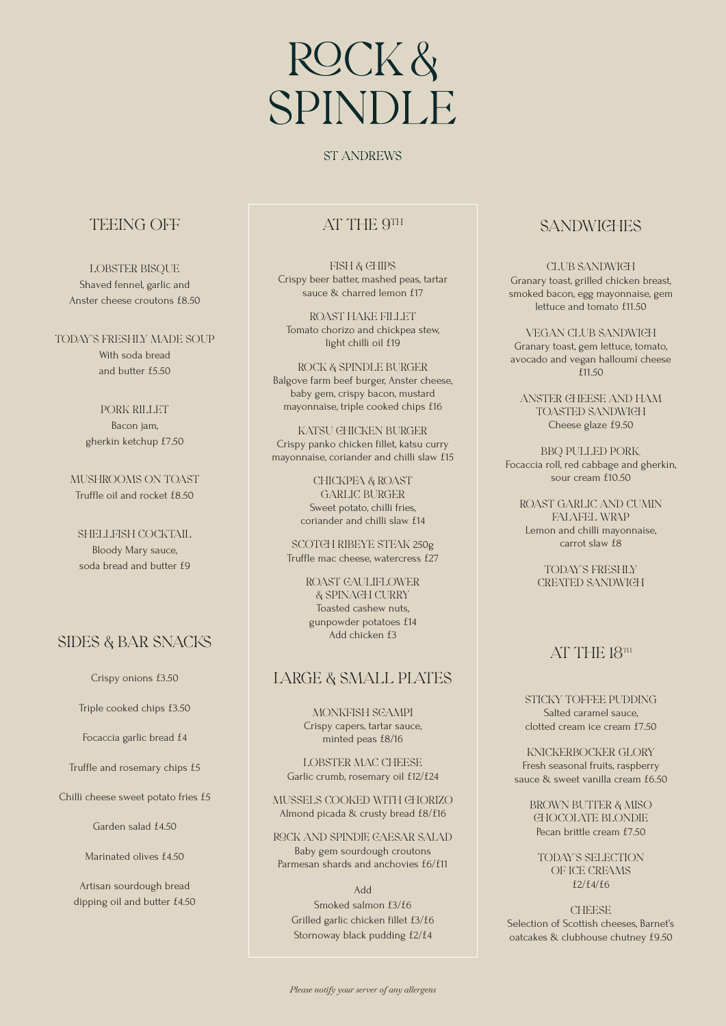## ROCK& **SPINDLE**

#### **ST ANDREWS**

#### TEEING OFF

LOBSTER BISOUE Shaved fennel, garlic and Anster cheese croutons £8.50

Today's freshly made soup With soda bread and butter £5.50

> Pork rilLet Bacon jam, gherkin ketchup £7.50

MUSHROOMS ON TOAST Truffle oil and rocket £8.50

SHELlFISH cOcktail Bloody Mary sauce, soda bread and butter f9

#### SIDES & BAR SNACKS

Crispy onions £3.50

Triple cooked chips £3.50

Focaccia garlic bread £4

Truffle and rosemary chips £5

Chilli cheese sweet potato fries £5

Garden salad £4.50

Marinated olives £4.50

Artisan sourdough bread dipping oil and butter £4.50

#### AT THE 9TH

Fish & chips Crispy beer batter, mashed peas, tartar sauce & charred lemon f17

Roast HAKE filLet Tomato chorizo and chickpea stew, light chilli oil £19

RoCK & SPINDLe Burger Balgove farm beef burger, Anster cheese, baby gem, crispy bacon, mustard mayonnaise, triple cooked chips £16

Katsu chicken burger Crispy panko chicken fillet, katsu curry mayonnaise, coriander and chilli slaw £15

> Chickpea & rOast garlic burger Sweet potato, chilli fries, coriander and chilli slaw £14

SCOTCH RIBEYE STEAK 250g Truffle mac cheese, watercress £27

> ROAST GAULIFLOWER & spinach curRy Toasted cashew nuts, gunpowder potatoes £14 Add chicken £3

#### large & smalL plates

Monkfish scampi Crispy capers, tartar sauce, minted peas £8/16

LOBSTER MAC CHEESE Garlic crumb, rosemary oil £12/£24

Mussels CoOKED with chorizo Almond picada & crusty bread £8/£16

ROCk and spindle caesar salad Baby gem sourdough croutons Parmesan shards and anchovies £6/£11

Add

Smoked salmon £3/£6 Grilled garlic chicken fillet £3/£6 Stornoway black pudding £2/£4

### **SANDWICHES**

CLUB SANDWICH Granary toast, grilled chicken breast, smoked bacon, egg mayonnaise, gem lettuce and tomato £11.50

Vegan ClUb Sandwich Granary toast, gem lettuce, tomato, avocado and vegan halloumi cheese £11.50

Anster cheese and ham toasted sandwich Cheese glaze £9.50

BBQ pulLed pork, Focaccia roll, red cabbage and gherkin, sour cream £10.50

Roast garlic and cumin falafel wrap Lemon and chilli mayonnaise, carrot slaw £8

> Today's freshly created sandwich

#### AT THE 18TH

StIcky toffee pudding Salted caramel sauce, clotted cream ice cream £7.50

KnickerboCker glOry Fresh seasonal fruits, raspberry sauce & sweet vanilla cream £6.50

BROWN BUTTER & MISO chOcOlate blOndie Pecan brittle cream £7.50

Today's selEctIon of ice creams £2/£4/£6

**CHEESE** Selection of Scottish cheeses, Barnet's oatcakes & clubhouse chutney £9.50